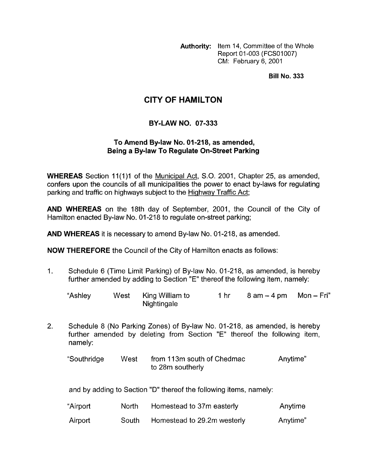**Authority:** Item 14, Committee of the Whole Report 01-003 (FCS01007) CM: February 6, 2001

**Bill No. 333** 

## **CITY OF HAMILTON**

## **BY-LAW NO. 07-333**

## **To Amend Bylaw No. 01-218, as amended, Being a By-law To Regulate On-Street Parking**

**WHEREAS** Section 11(1)1 of the Municipal Act, S.O. 2001, Chapter 25, as amended, confers upon the councils of all municipalities the power to enact by-laws for regulating parking and traffic on highways subject to the Highway Traffic Act;

**AND WHEREAS** on the 18th day of September, 2001, the Council of the City of Hamilton enacted By-law No. 01-218 to regulate on-street parking;

**AND WHEREAS** it is necessary to amend By-law No. 01-218, as amended.

**NOW THEREFORE** the Council of the City of Hamilton enacts as follows:

1. Schedule 6 (Time Limit Parking) of By-law No. 01-218, as amended, is hereby further amended by adding to Section "E" thereof the following item, namely:

| "Ashley | West King William to<br><b>Nightingale</b> | 1 hr | $8$ am $-4$ pm Mon $-$ Fri" |  |
|---------|--------------------------------------------|------|-----------------------------|--|

2. Schedule 8 (No Parking Zones) of By-law No. 01-218, as amended, is hereby further amended by deleting from Section "E" thereof the following item, namely:

| "Southridge | West | from 113m south of Chedmac | Anytime" |
|-------------|------|----------------------------|----------|
|             |      | to 28m southerly           |          |

and by adding to Section "D" thereof the following items, namely:

| "Airport | North | Homestead to 37m easterly   | Anytime  |
|----------|-------|-----------------------------|----------|
| Airport  | South | Homestead to 29.2m westerly | Anytime" |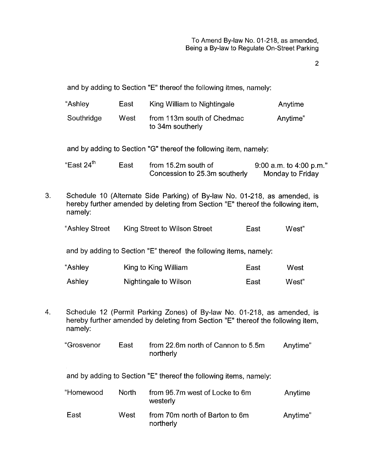2

Anytime

|    | Southridge                                                                                                                                                              | West | from 113m south of Chedmac<br>to 34m southerly                                                                                                             |      | Anytime"                                    |  |
|----|-------------------------------------------------------------------------------------------------------------------------------------------------------------------------|------|------------------------------------------------------------------------------------------------------------------------------------------------------------|------|---------------------------------------------|--|
|    |                                                                                                                                                                         |      | and by adding to Section "G" thereof the following item, namely:                                                                                           |      |                                             |  |
|    | "East 24 <sup>th</sup>                                                                                                                                                  | East | from 15.2m south of<br>Concession to 25.3m southerly                                                                                                       |      | 9:00 a.m. to 4:00 p.m."<br>Monday to Friday |  |
| 3. | Schedule 10 (Alternate Side Parking) of By-law No. 01-218, as amended, is<br>hereby further amended by deleting from Section "E" thereof the following item,<br>namely: |      |                                                                                                                                                            |      |                                             |  |
|    | "Ashley Street                                                                                                                                                          |      | King Street to Wilson Street                                                                                                                               | East | West"                                       |  |
|    | and by adding to Section "E" thereof the following items, namely:                                                                                                       |      |                                                                                                                                                            |      |                                             |  |
|    | "Ashley                                                                                                                                                                 |      | King to King William                                                                                                                                       | East | West                                        |  |
|    | Ashley                                                                                                                                                                  |      | Nightingale to Wilson                                                                                                                                      | East | West"                                       |  |
| 4. | namely:                                                                                                                                                                 |      | Schedule 12 (Permit Parking Zones) of By-law No. 01-218, as amended, is<br>hereby further amended by deleting from Section "E" thereof the following item, |      |                                             |  |

and by adding to Section "E" thereof the following itmes, namely:

"Ashley East King William to Nightingale

| "Grosvenor | East | from 22.6m north of Cannon to 5.5m | Anytime" |
|------------|------|------------------------------------|----------|
|            |      | northerly                          |          |

and by adding to Section "E" thereof the following items, namely:

| "Homewood | <b>North</b> | from 95.7m west of Locke to 6m<br>westerly  | Anytime  |
|-----------|--------------|---------------------------------------------|----------|
| East      | West         | from 70m north of Barton to 6m<br>northerly | Anytime" |